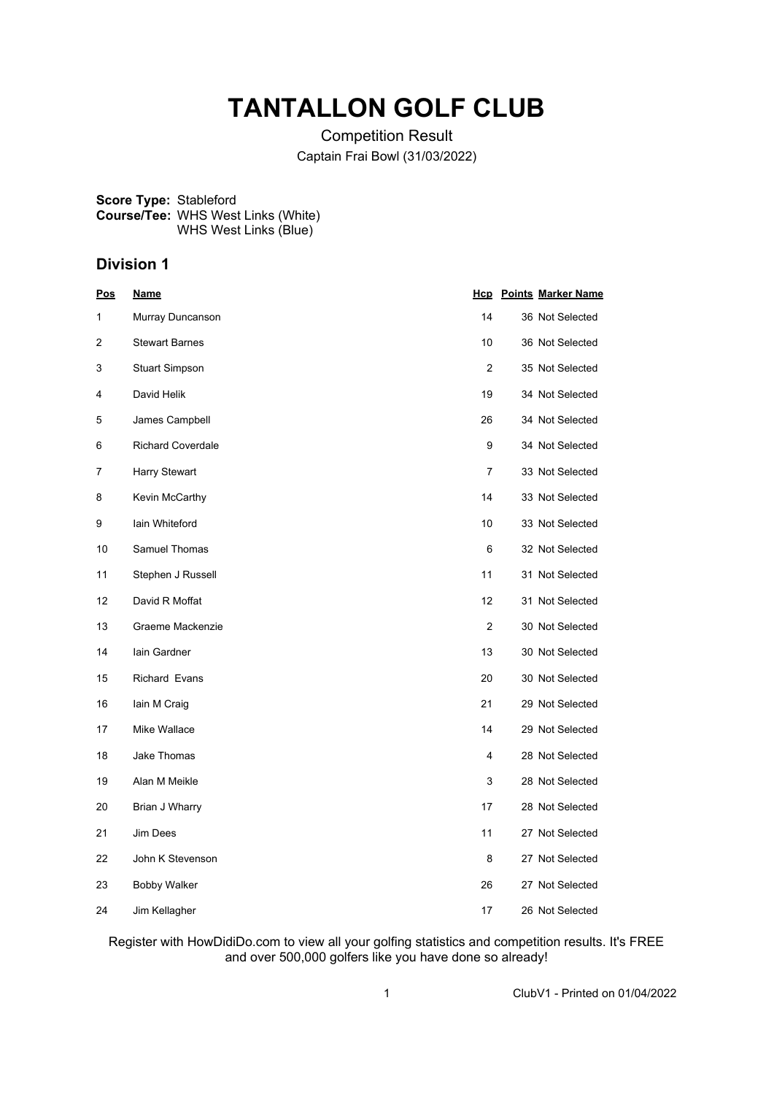## **TANTALLON GOLF CLUB**

Competition Result Captain Frai Bowl (31/03/2022)

**Score Type:** Stableford **Course/Tee:** WHS West Links (White) WHS West Links (Blue)

## **Division 1**

| Pos | <u>Name</u>              |                | <b>Hcp</b> Points Marker Name |
|-----|--------------------------|----------------|-------------------------------|
| 1   | Murray Duncanson         | 14             | 36 Not Selected               |
| 2   | <b>Stewart Barnes</b>    | 10             | 36 Not Selected               |
| 3   | <b>Stuart Simpson</b>    | $\overline{2}$ | 35 Not Selected               |
| 4   | David Helik              | 19             | 34 Not Selected               |
| 5   | James Campbell           | 26             | 34 Not Selected               |
| 6   | <b>Richard Coverdale</b> | 9              | 34 Not Selected               |
| 7   | Harry Stewart            | 7              | 33 Not Selected               |
| 8   | Kevin McCarthy           | 14             | 33 Not Selected               |
| 9   | lain Whiteford           | 10             | 33 Not Selected               |
| 10  | Samuel Thomas            | 6              | 32 Not Selected               |
| 11  | Stephen J Russell        | 11             | 31 Not Selected               |
| 12  | David R Moffat           | 12             | 31 Not Selected               |
| 13  | Graeme Mackenzie         | 2              | 30 Not Selected               |
| 14  | lain Gardner             | 13             | 30 Not Selected               |
| 15  | <b>Richard Evans</b>     | 20             | 30 Not Selected               |
| 16  | lain M Craig             | 21             | 29 Not Selected               |
| 17  | Mike Wallace             | 14             | 29 Not Selected               |
| 18  | Jake Thomas              | 4              | 28 Not Selected               |
| 19  | Alan M Meikle            | 3              | 28 Not Selected               |
| 20  | Brian J Wharry           | 17             | 28 Not Selected               |
| 21  | Jim Dees                 | 11             | 27 Not Selected               |
| 22  | John K Stevenson         | 8              | 27 Not Selected               |
| 23  | <b>Bobby Walker</b>      | 26             | 27 Not Selected               |
| 24  | Jim Kellagher            | 17             | 26 Not Selected               |

Register with HowDidiDo.com to view all your golfing statistics and competition results. It's FREE and over 500,000 golfers like you have done so already!